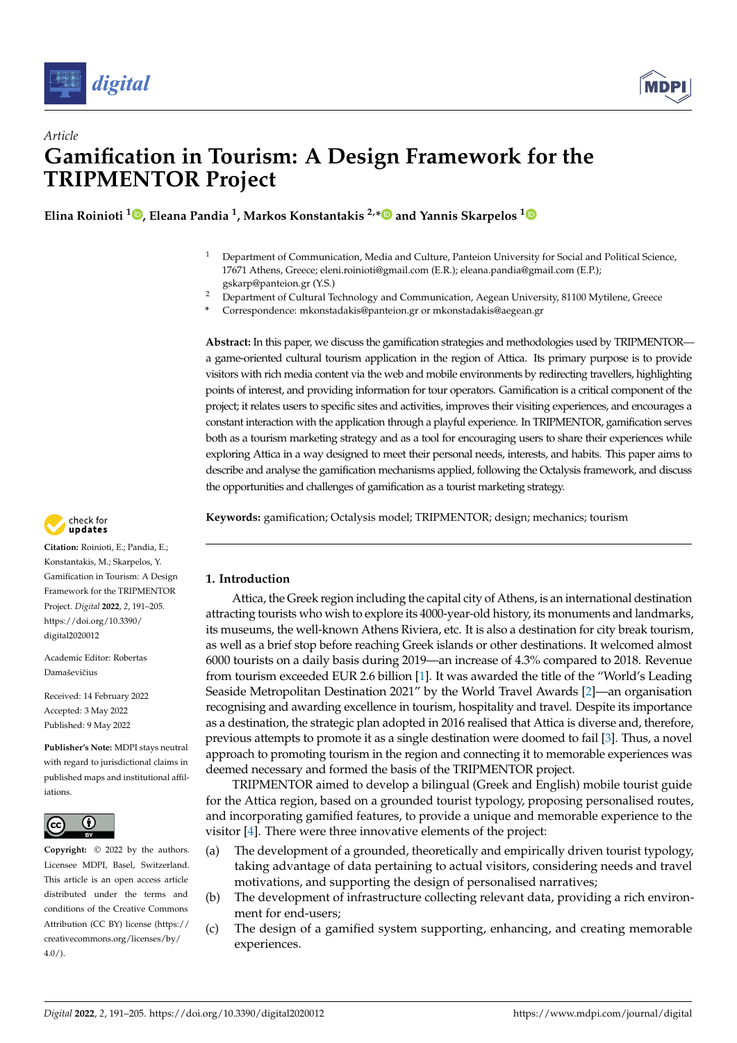



# *Article* **Gamification in Tourism: A Design Framework for the TRIPMENTOR Project**

**Elina Roinioti [1](https://orcid.org/0000-0003-4265-5032) , Eleana Pandia <sup>1</sup> , Markos Konstantakis 2,[\\*](https://orcid.org/0000-0003-0656-693X) and Yannis Skarpelos [1](https://orcid.org/0000-0002-8460-1676)**

- <sup>1</sup> Department of Communication, Media and Culture, Panteion University for Social and Political Science, 17671 Athens, Greece; eleni.roinioti@gmail.com (E.R.); eleana.pandia@gmail.com (E.P.); gskarp@panteion.gr (Y.S.)
- <sup>2</sup> Department of Cultural Technology and Communication, Aegean University, 81100 Mytilene, Greece
- **\*** Correspondence: mkonstadakis@panteion.gr or mkonstadakis@aegean.gr

**Abstract:** In this paper, we discuss the gamification strategies and methodologies used by TRIPMENTOR a game-oriented cultural tourism application in the region of Attica. Its primary purpose is to provide visitors with rich media content via the web and mobile environments by redirecting travellers, highlighting points of interest, and providing information for tour operators. Gamification is a critical component of the project; it relates users to specific sites and activities, improves their visiting experiences, and encourages a constant interaction with the application through a playful experience. In TRIPMENTOR, gamification serves both as a tourism marketing strategy and as a tool for encouraging users to share their experiences while exploring Attica in a way designed to meet their personal needs, interests, and habits. This paper aims to describe and analyse the gamification mechanisms applied, following the Octalysis framework, and discuss the opportunities and challenges of gamification as a tourist marketing strategy.

**Keywords:** gamification; Octalysis model; TRIPMENTOR; design; mechanics; tourism



Attica, the Greek region including the capital city of Athens, is an international destination attracting tourists who wish to explore its 4000-year-old history, its monuments and landmarks, its museums, the well-known Athens Riviera, etc. It is also a destination for city break tourism, as well as a brief stop before reaching Greek islands or other destinations. It welcomed almost 6000 tourists on a daily basis during 2019—an increase of 4.3% compared to 2018. Revenue from tourism exceeded EUR 2.6 billion [\[1\]](#page-13-0). It was awarded the title of the "World's Leading Seaside Metropolitan Destination 2021" by the World Travel Awards [\[2\]](#page-13-1)—an organisation recognising and awarding excellence in tourism, hospitality and travel. Despite its importance as a destination, the strategic plan adopted in 2016 realised that Attica is diverse and, therefore, previous attempts to promote it as a single destination were doomed to fail [\[3\]](#page-13-2). Thus, a novel approach to promoting tourism in the region and connecting it to memorable experiences was deemed necessary and formed the basis of the TRIPMENTOR project.

TRIPMENTOR aimed to develop a bilingual (Greek and English) mobile tourist guide for the Attica region, based on a grounded tourist typology, proposing personalised routes, and incorporating gamified features, to provide a unique and memorable experience to the visitor [\[4\]](#page-13-3). There were three innovative elements of the project:

- (a) The development of a grounded, theoretically and empirically driven tourist typology, taking advantage of data pertaining to actual visitors, considering needs and travel motivations, and supporting the design of personalised narratives;
- (b) The development of infrastructure collecting relevant data, providing a rich environment for end-users;
- (c) The design of a gamified system supporting, enhancing, and creating memorable experiences.



**Citation:** Roinioti, E.; Pandia, E.; Konstantakis, M.; Skarpelos, Y. Gamification in Tourism: A Design Framework for the TRIPMENTOR Project. *Digital* **2022**, *2*, 191–205. [https://doi.org/10.3390/](https://doi.org/10.3390/digital2020012) [digital2020012](https://doi.org/10.3390/digital2020012)

Academic Editor: Robertas Damaševičius

Received: 14 February 2022 Accepted: 3 May 2022 Published: 9 May 2022

**Publisher's Note:** MDPI stays neutral with regard to jurisdictional claims in published maps and institutional affiliations.



**Copyright:** © 2022 by the authors. Licensee MDPI, Basel, Switzerland. This article is an open access article distributed under the terms and conditions of the Creative Commons Attribution (CC BY) license [\(https://](https://creativecommons.org/licenses/by/4.0/) [creativecommons.org/licenses/by/](https://creativecommons.org/licenses/by/4.0/)  $4.0/$ ).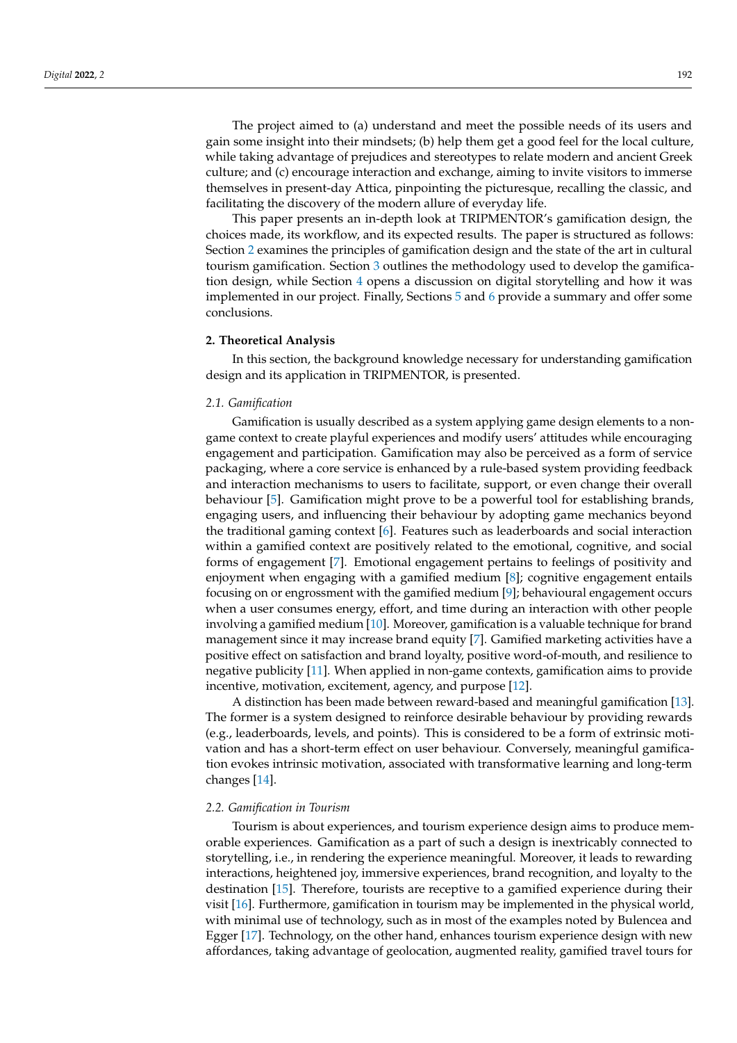The project aimed to (a) understand and meet the possible needs of its users and gain some insight into their mindsets; (b) help them get a good feel for the local culture, while taking advantage of prejudices and stereotypes to relate modern and ancient Greek culture; and (c) encourage interaction and exchange, aiming to invite visitors to immerse themselves in present-day Attica, pinpointing the picturesque, recalling the classic, and facilitating the discovery of the modern allure of everyday life.

This paper presents an in-depth look at TRIPMENTOR's gamification design, the choices made, its workflow, and its expected results. The paper is structured as follows: Section [2](#page-1-0) examines the principles of gamification design and the state of the art in cultural tourism gamification. Section [3](#page-2-0) outlines the methodology used to develop the gamification design, while Section [4](#page-10-0) opens a discussion on digital storytelling and how it was implemented in our project. Finally, Sections [5](#page-11-0) and [6](#page-11-1) provide a summary and offer some conclusions.

#### <span id="page-1-0"></span>**2. Theoretical Analysis**

In this section, the background knowledge necessary for understanding gamification design and its application in TRIPMENTOR, is presented.

# *2.1. Gamification*

Gamification is usually described as a system applying game design elements to a nongame context to create playful experiences and modify users' attitudes while encouraging engagement and participation. Gamification may also be perceived as a form of service packaging, where a core service is enhanced by a rule-based system providing feedback and interaction mechanisms to users to facilitate, support, or even change their overall behaviour [\[5\]](#page-13-4). Gamification might prove to be a powerful tool for establishing brands, engaging users, and influencing their behaviour by adopting game mechanics beyond the traditional gaming context [\[6\]](#page-13-5). Features such as leaderboards and social interaction within a gamified context are positively related to the emotional, cognitive, and social forms of engagement [\[7\]](#page-13-6). Emotional engagement pertains to feelings of positivity and enjoyment when engaging with a gamified medium [\[8\]](#page-13-7); cognitive engagement entails focusing on or engrossment with the gamified medium [\[9\]](#page-13-8); behavioural engagement occurs when a user consumes energy, effort, and time during an interaction with other people involving a gamified medium [\[10\]](#page-13-9). Moreover, gamification is a valuable technique for brand management since it may increase brand equity [\[7\]](#page-13-6). Gamified marketing activities have a positive effect on satisfaction and brand loyalty, positive word-of-mouth, and resilience to negative publicity [\[11\]](#page-13-10). When applied in non-game contexts, gamification aims to provide incentive, motivation, excitement, agency, and purpose [\[12\]](#page-13-11).

A distinction has been made between reward-based and meaningful gamification [\[13\]](#page-13-12). The former is a system designed to reinforce desirable behaviour by providing rewards (e.g., leaderboards, levels, and points). This is considered to be a form of extrinsic motivation and has a short-term effect on user behaviour. Conversely, meaningful gamification evokes intrinsic motivation, associated with transformative learning and long-term changes [\[14\]](#page-13-13).

## *2.2. Gamification in Tourism*

Tourism is about experiences, and tourism experience design aims to produce memorable experiences. Gamification as a part of such a design is inextricably connected to storytelling, i.e., in rendering the experience meaningful. Moreover, it leads to rewarding interactions, heightened joy, immersive experiences, brand recognition, and loyalty to the destination [\[15\]](#page-13-14). Therefore, tourists are receptive to a gamified experience during their visit [\[16\]](#page-13-15). Furthermore, gamification in tourism may be implemented in the physical world, with minimal use of technology, such as in most of the examples noted by Bulencea and Egger [\[17\]](#page-13-16). Technology, on the other hand, enhances tourism experience design with new affordances, taking advantage of geolocation, augmented reality, gamified travel tours for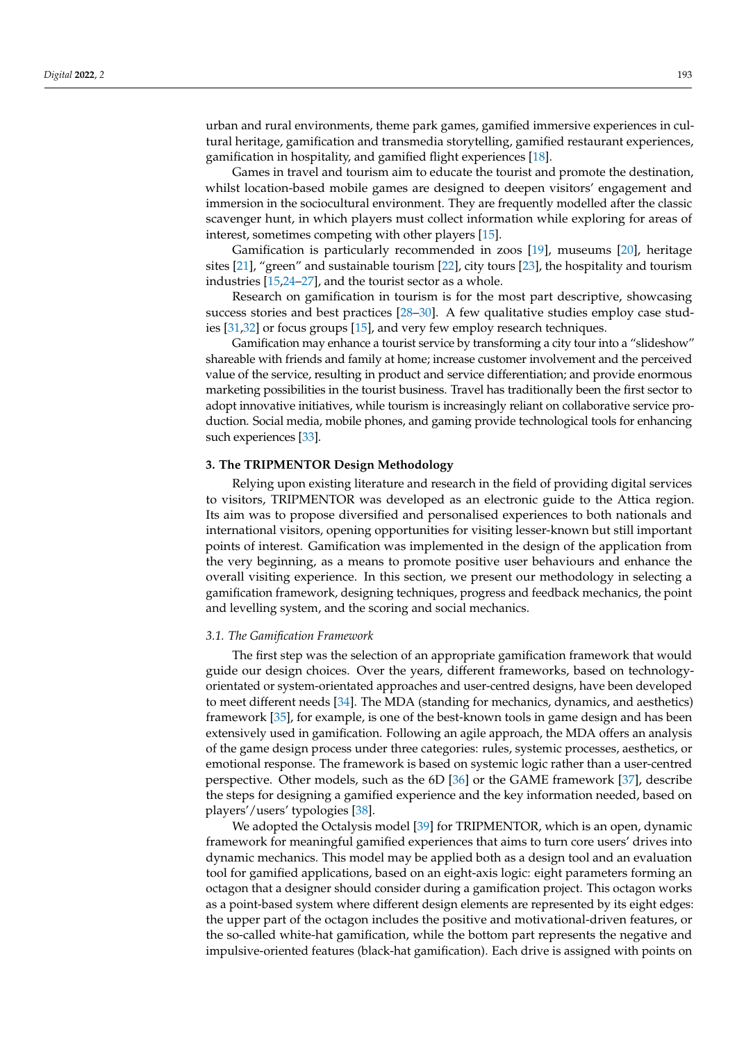urban and rural environments, theme park games, gamified immersive experiences in cultural heritage, gamification and transmedia storytelling, gamified restaurant experiences, gamification in hospitality, and gamified flight experiences [\[18\]](#page-13-17).

Games in travel and tourism aim to educate the tourist and promote the destination, whilst location-based mobile games are designed to deepen visitors' engagement and immersion in the sociocultural environment. They are frequently modelled after the classic scavenger hunt, in which players must collect information while exploring for areas of interest, sometimes competing with other players [\[15\]](#page-13-14).

Gamification is particularly recommended in zoos [\[19\]](#page-13-18), museums [\[20\]](#page-13-19), heritage sites [\[21\]](#page-13-20), "green" and sustainable tourism [\[22\]](#page-13-21), city tours [\[23\]](#page-13-22), the hospitality and tourism industries [\[15,](#page-13-14)[24–](#page-13-23)[27\]](#page-13-24), and the tourist sector as a whole.

Research on gamification in tourism is for the most part descriptive, showcasing success stories and best practices [\[28–](#page-13-25)[30\]](#page-14-0). A few qualitative studies employ case studies [\[31,](#page-14-1)[32\]](#page-14-2) or focus groups [\[15\]](#page-13-14), and very few employ research techniques.

Gamification may enhance a tourist service by transforming a city tour into a "slideshow" shareable with friends and family at home; increase customer involvement and the perceived value of the service, resulting in product and service differentiation; and provide enormous marketing possibilities in the tourist business. Travel has traditionally been the first sector to adopt innovative initiatives, while tourism is increasingly reliant on collaborative service production. Social media, mobile phones, and gaming provide technological tools for enhancing such experiences [\[33\]](#page-14-3).

# <span id="page-2-0"></span>**3. The TRIPMENTOR Design Methodology**

Relying upon existing literature and research in the field of providing digital services to visitors, TRIPMENTOR was developed as an electronic guide to the Attica region. Its aim was to propose diversified and personalised experiences to both nationals and international visitors, opening opportunities for visiting lesser-known but still important points of interest. Gamification was implemented in the design of the application from the very beginning, as a means to promote positive user behaviours and enhance the overall visiting experience. In this section, we present our methodology in selecting a gamification framework, designing techniques, progress and feedback mechanics, the point and levelling system, and the scoring and social mechanics.

#### *3.1. The Gamification Framework*

The first step was the selection of an appropriate gamification framework that would guide our design choices. Over the years, different frameworks, based on technologyorientated or system-orientated approaches and user-centred designs, have been developed to meet different needs [\[34\]](#page-14-4). The MDA (standing for mechanics, dynamics, and aesthetics) framework [\[35\]](#page-14-5), for example, is one of the best-known tools in game design and has been extensively used in gamification. Following an agile approach, the MDA offers an analysis of the game design process under three categories: rules, systemic processes, aesthetics, or emotional response. The framework is based on systemic logic rather than a user-centred perspective. Other models, such as the 6D [\[36\]](#page-14-6) or the GAME framework [\[37\]](#page-14-7), describe the steps for designing a gamified experience and the key information needed, based on players'/users' typologies [\[38\]](#page-14-8).

We adopted the Octalysis model [\[39\]](#page-14-9) for TRIPMENTOR, which is an open, dynamic framework for meaningful gamified experiences that aims to turn core users' drives into dynamic mechanics. This model may be applied both as a design tool and an evaluation tool for gamified applications, based on an eight-axis logic: eight parameters forming an octagon that a designer should consider during a gamification project. This octagon works as a point-based system where different design elements are represented by its eight edges: the upper part of the octagon includes the positive and motivational-driven features, or the so-called white-hat gamification, while the bottom part represents the negative and impulsive-oriented features (black-hat gamification). Each drive is assigned with points on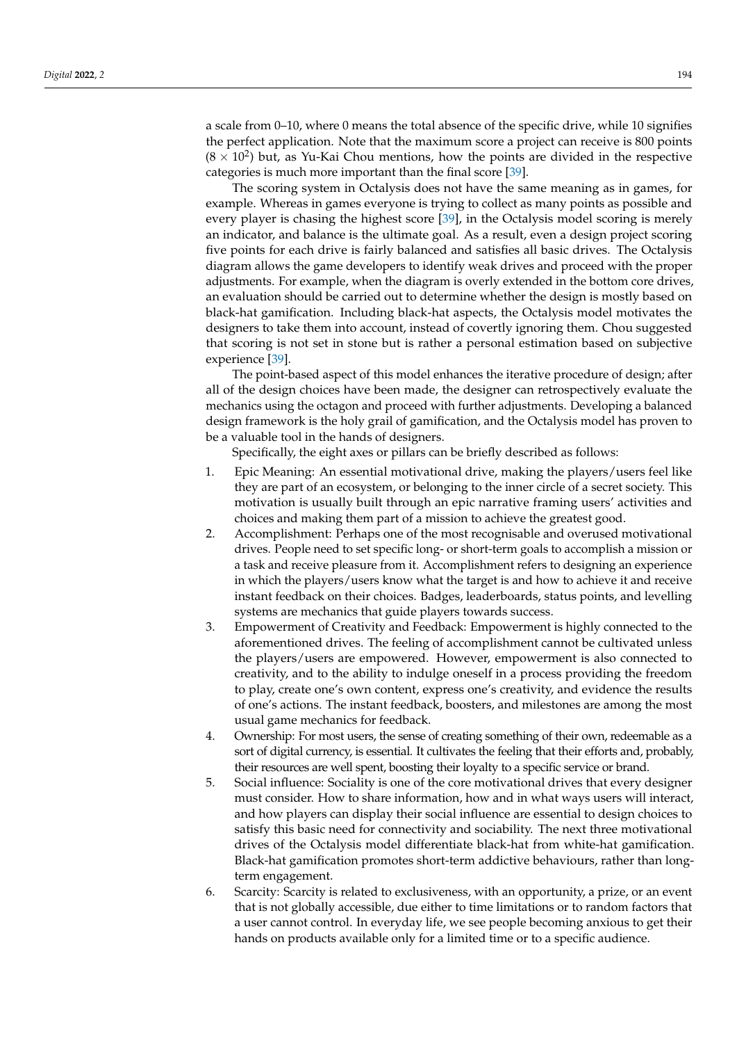a scale from 0–10, where 0 means the total absence of the specific drive, while 10 signifies the perfect application. Note that the maximum score a project can receive is 800 points  $(8 \times 10^2)$  but, as Yu-Kai Chou mentions, how the points are divided in the respective categories is much more important than the final score [\[39\]](#page-14-9).

The scoring system in Octalysis does not have the same meaning as in games, for example. Whereas in games everyone is trying to collect as many points as possible and every player is chasing the highest score [\[39\]](#page-14-9), in the Octalysis model scoring is merely an indicator, and balance is the ultimate goal. As a result, even a design project scoring five points for each drive is fairly balanced and satisfies all basic drives. The Octalysis diagram allows the game developers to identify weak drives and proceed with the proper adjustments. For example, when the diagram is overly extended in the bottom core drives, an evaluation should be carried out to determine whether the design is mostly based on black-hat gamification. Including black-hat aspects, the Octalysis model motivates the designers to take them into account, instead of covertly ignoring them. Chou suggested that scoring is not set in stone but is rather a personal estimation based on subjective experience [\[39\]](#page-14-9).

The point-based aspect of this model enhances the iterative procedure of design; after all of the design choices have been made, the designer can retrospectively evaluate the mechanics using the octagon and proceed with further adjustments. Developing a balanced design framework is the holy grail of gamification, and the Octalysis model has proven to be a valuable tool in the hands of designers.

Specifically, the eight axes or pillars can be briefly described as follows:

- 1. Epic Meaning: An essential motivational drive, making the players/users feel like they are part of an ecosystem, or belonging to the inner circle of a secret society. This motivation is usually built through an epic narrative framing users' activities and choices and making them part of a mission to achieve the greatest good.
- 2. Accomplishment: Perhaps one of the most recognisable and overused motivational drives. People need to set specific long- or short-term goals to accomplish a mission or a task and receive pleasure from it. Accomplishment refers to designing an experience in which the players/users know what the target is and how to achieve it and receive instant feedback on their choices. Badges, leaderboards, status points, and levelling systems are mechanics that guide players towards success.
- 3. Empowerment of Creativity and Feedback: Empowerment is highly connected to the aforementioned drives. The feeling of accomplishment cannot be cultivated unless the players/users are empowered. However, empowerment is also connected to creativity, and to the ability to indulge oneself in a process providing the freedom to play, create one's own content, express one's creativity, and evidence the results of one's actions. The instant feedback, boosters, and milestones are among the most usual game mechanics for feedback.
- 4. Ownership: For most users, the sense of creating something of their own, redeemable as a sort of digital currency, is essential. It cultivates the feeling that their efforts and, probably, their resources are well spent, boosting their loyalty to a specific service or brand.
- 5. Social influence: Sociality is one of the core motivational drives that every designer must consider. How to share information, how and in what ways users will interact, and how players can display their social influence are essential to design choices to satisfy this basic need for connectivity and sociability. The next three motivational drives of the Octalysis model differentiate black-hat from white-hat gamification. Black-hat gamification promotes short-term addictive behaviours, rather than longterm engagement.
- 6. Scarcity: Scarcity is related to exclusiveness, with an opportunity, a prize, or an event that is not globally accessible, due either to time limitations or to random factors that a user cannot control. In everyday life, we see people becoming anxious to get their hands on products available only for a limited time or to a specific audience.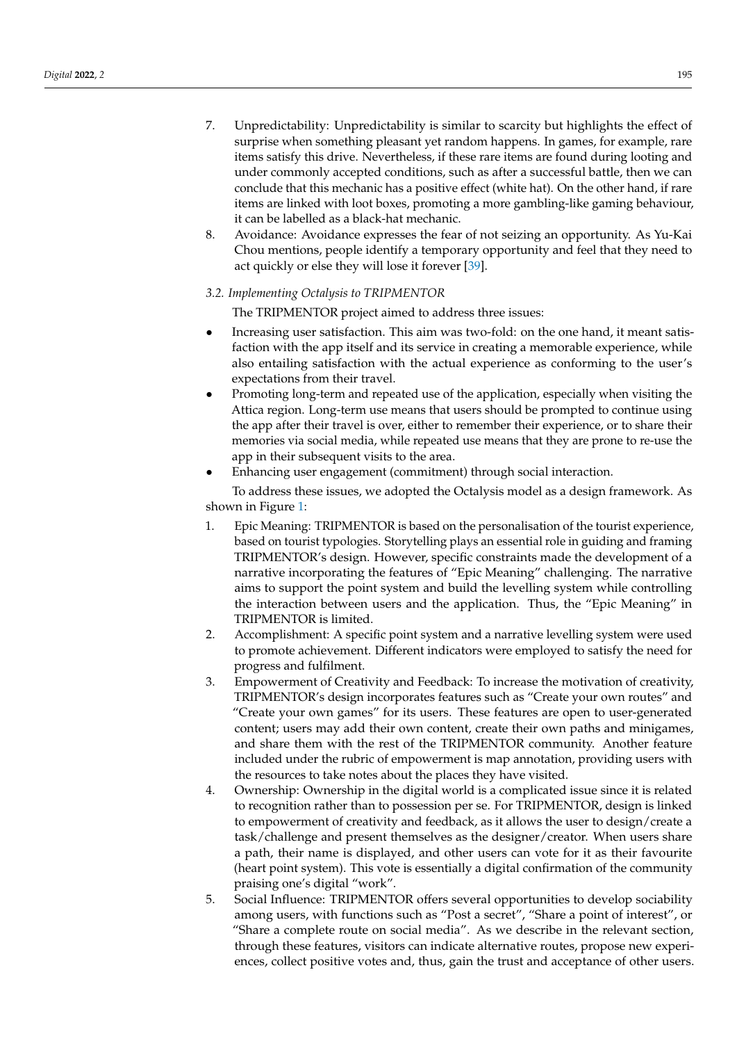- 7. Unpredictability: Unpredictability is similar to scarcity but highlights the effect of surprise when something pleasant yet random happens. In games, for example, rare items satisfy this drive. Nevertheless, if these rare items are found during looting and under commonly accepted conditions, such as after a successful battle, then we can conclude that this mechanic has a positive effect (white hat). On the other hand, if rare items are linked with loot boxes, promoting a more gambling-like gaming behaviour, it can be labelled as a black-hat mechanic.
- 8. Avoidance: Avoidance expresses the fear of not seizing an opportunity. As Yu-Kai Chou mentions, people identify a temporary opportunity and feel that they need to act quickly or else they will lose it forever [\[39\]](#page-14-9).

# *3.2. Implementing Octalysis to TRIPMENTOR*

The TRIPMENTOR project aimed to address three issues:

- Increasing user satisfaction. This aim was two-fold: on the one hand, it meant satisfaction with the app itself and its service in creating a memorable experience, while also entailing satisfaction with the actual experience as conforming to the user's expectations from their travel.
- Promoting long-term and repeated use of the application, especially when visiting the Attica region. Long-term use means that users should be prompted to continue using the app after their travel is over, either to remember their experience, or to share their memories via social media, while repeated use means that they are prone to re-use the app in their subsequent visits to the area.
- Enhancing user engagement (commitment) through social interaction.

To address these issues, we adopted the Octalysis model as a design framework. As shown in Figure [1:](#page-5-0)

- 1. Epic Meaning: TRIPMENTOR is based on the personalisation of the tourist experience, based on tourist typologies. Storytelling plays an essential role in guiding and framing TRIPMENTOR's design. However, specific constraints made the development of a narrative incorporating the features of "Epic Meaning" challenging. The narrative aims to support the point system and build the levelling system while controlling the interaction between users and the application. Thus, the "Epic Meaning" in TRIPMENTOR is limited.
- 2. Accomplishment: A specific point system and a narrative levelling system were used to promote achievement. Different indicators were employed to satisfy the need for progress and fulfilment.
- 3. Empowerment of Creativity and Feedback: To increase the motivation of creativity, TRIPMENTOR's design incorporates features such as "Create your own routes" and "Create your own games" for its users. These features are open to user-generated content; users may add their own content, create their own paths and minigames, and share them with the rest of the TRIPMENTOR community. Another feature included under the rubric of empowerment is map annotation, providing users with the resources to take notes about the places they have visited.
- 4. Ownership: Ownership in the digital world is a complicated issue since it is related to recognition rather than to possession per se. For TRIPMENTOR, design is linked to empowerment of creativity and feedback, as it allows the user to design/create a task/challenge and present themselves as the designer/creator. When users share a path, their name is displayed, and other users can vote for it as their favourite (heart point system). This vote is essentially a digital confirmation of the community praising one's digital "work".
- 5. Social Influence: TRIPMENTOR offers several opportunities to develop sociability among users, with functions such as "Post a secret", "Share a point of interest", or "Share a complete route on social media". As we describe in the relevant section, through these features, visitors can indicate alternative routes, propose new experiences, collect positive votes and, thus, gain the trust and acceptance of other users.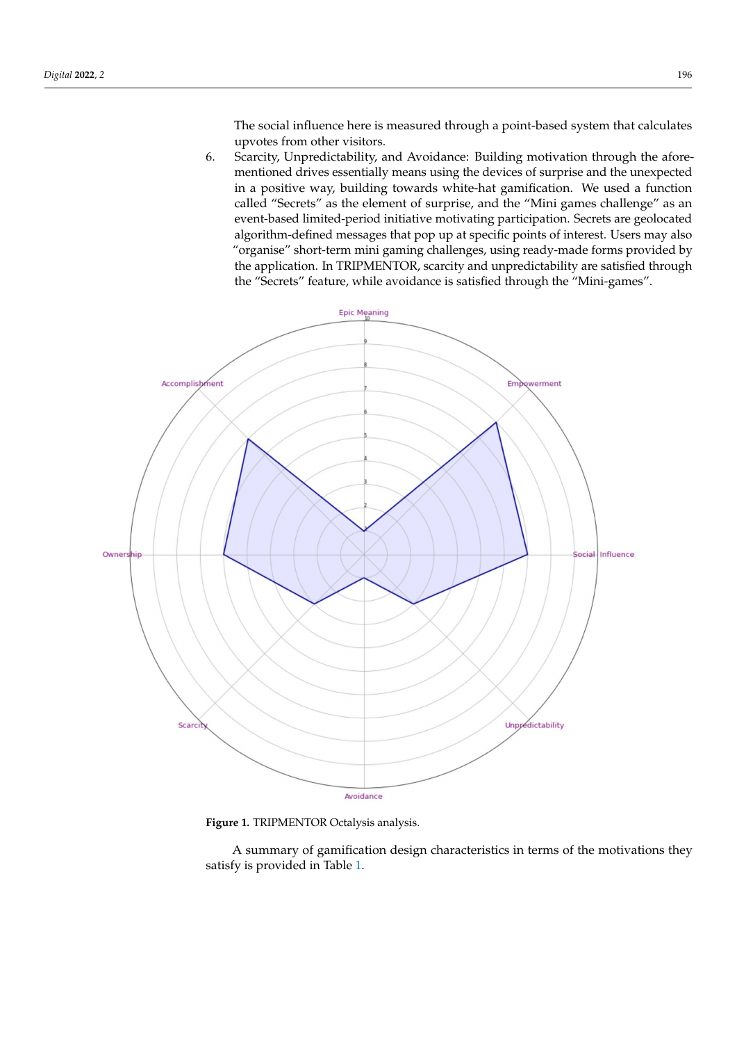The social influence here is measured through a point-based system that calculates upvotes from other visitors.

6. Scarcity, Unpredictability, and Avoidance: Building motivation through the aforementioned drives essentially means using the devices of surprise and the unexpected in a positive way, building towards white-hat gamification. We used a function called "Secrets" as the element of surprise, and the "Mini games challenge" as an event-based limited-period initiative motivating participation. Secrets are geolocated algorithm-defined messages that pop up at specific points of interest. Users may also "organise" short-term mini gaming challenges, using ready-made forms provided by the application. In TRIPMENTOR, scarcity and unpredictability are satisfied through the "Secrets" feature, while avoidance is satisfied through the "Mini-games".

<span id="page-5-0"></span>

**Figure 1.** TRIPMENTOR Octalysis analysis.

A summary of gamification design characteristics in terms of the motivations they satisfy is provided in Table [1.](#page-6-0)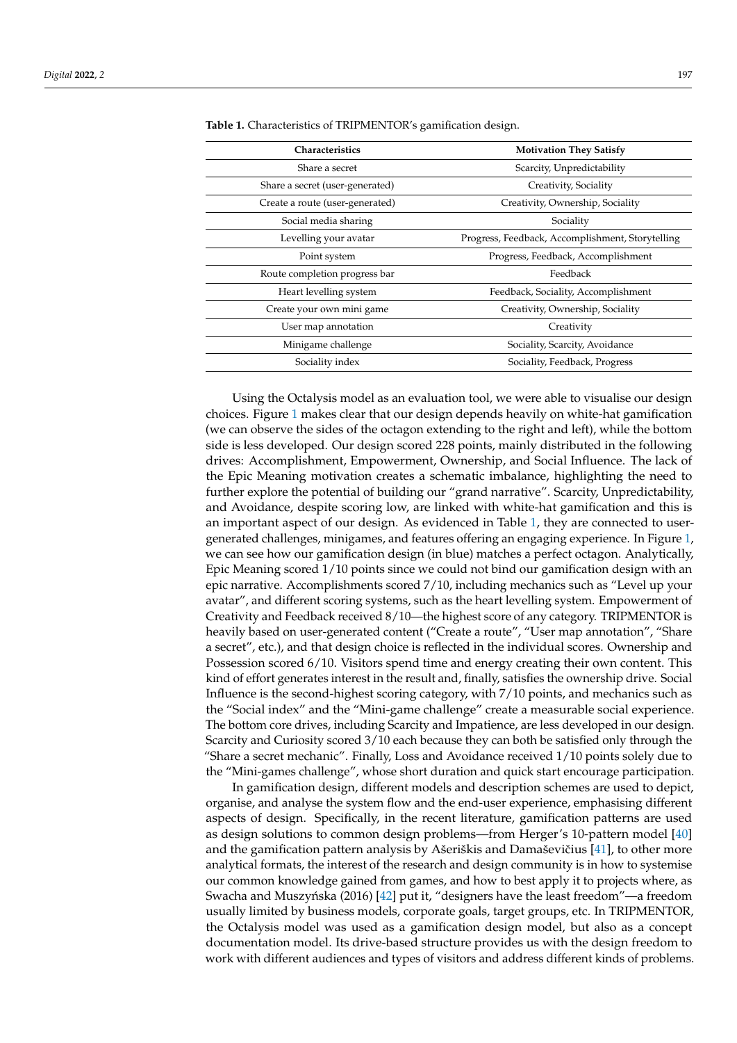| Characteristics                 | <b>Motivation They Satisfy</b>                   |
|---------------------------------|--------------------------------------------------|
| Share a secret                  | Scarcity, Unpredictability                       |
| Share a secret (user-generated) | Creativity, Sociality                            |
| Create a route (user-generated) | Creativity, Ownership, Sociality                 |
| Social media sharing            | Sociality                                        |
| Levelling your avatar           | Progress, Feedback, Accomplishment, Storytelling |
| Point system                    | Progress, Feedback, Accomplishment               |
| Route completion progress bar   | Feedback                                         |
| Heart levelling system          | Feedback, Sociality, Accomplishment              |
| Create your own mini game       | Creativity, Ownership, Sociality                 |
| User map annotation             | Creativity                                       |
| Minigame challenge              | Sociality, Scarcity, Avoidance                   |
| Sociality index                 | Sociality, Feedback, Progress                    |

<span id="page-6-0"></span>**Table 1.** Characteristics of TRIPMENTOR's gamification design.

Using the Octalysis model as an evaluation tool, we were able to visualise our design choices. Figure [1](#page-5-0) makes clear that our design depends heavily on white-hat gamification (we can observe the sides of the octagon extending to the right and left), while the bottom side is less developed. Our design scored 228 points, mainly distributed in the following drives: Accomplishment, Empowerment, Ownership, and Social Influence. The lack of the Epic Meaning motivation creates a schematic imbalance, highlighting the need to further explore the potential of building our "grand narrative". Scarcity, Unpredictability, and Avoidance, despite scoring low, are linked with white-hat gamification and this is an important aspect of our design. As evidenced in Table [1,](#page-6-0) they are connected to usergenerated challenges, minigames, and features offering an engaging experience. In Figure [1,](#page-5-0) we can see how our gamification design (in blue) matches a perfect octagon. Analytically, Epic Meaning scored 1/10 points since we could not bind our gamification design with an epic narrative. Accomplishments scored 7/10, including mechanics such as "Level up your avatar", and different scoring systems, such as the heart levelling system. Empowerment of Creativity and Feedback received 8/10—the highest score of any category. TRIPMENTOR is heavily based on user-generated content ("Create a route", "User map annotation", "Share a secret", etc.), and that design choice is reflected in the individual scores. Ownership and Possession scored 6/10. Visitors spend time and energy creating their own content. This kind of effort generates interest in the result and, finally, satisfies the ownership drive. Social Influence is the second-highest scoring category, with 7/10 points, and mechanics such as the "Social index" and the "Mini-game challenge" create a measurable social experience. The bottom core drives, including Scarcity and Impatience, are less developed in our design. Scarcity and Curiosity scored 3/10 each because they can both be satisfied only through the "Share a secret mechanic". Finally, Loss and Avoidance received 1/10 points solely due to the "Mini-games challenge", whose short duration and quick start encourage participation.

In gamification design, different models and description schemes are used to depict, organise, and analyse the system flow and the end-user experience, emphasising different aspects of design. Specifically, in the recent literature, gamification patterns are used as design solutions to common design problems—from Herger's 10-pattern model [\[40\]](#page-14-10) and the gamification pattern analysis by Ašeriškis and Damaševičius  $[41]$ , to other more analytical formats, the interest of the research and design community is in how to systemise our common knowledge gained from games, and how to best apply it to projects where, as Swacha and Muszyńska (2016)  $[42]$  put it, "designers have the least freedom"—a freedom usually limited by business models, corporate goals, target groups, etc. In TRIPMENTOR, the Octalysis model was used as a gamification design model, but also as a concept documentation model. Its drive-based structure provides us with the design freedom to work with different audiences and types of visitors and address different kinds of problems.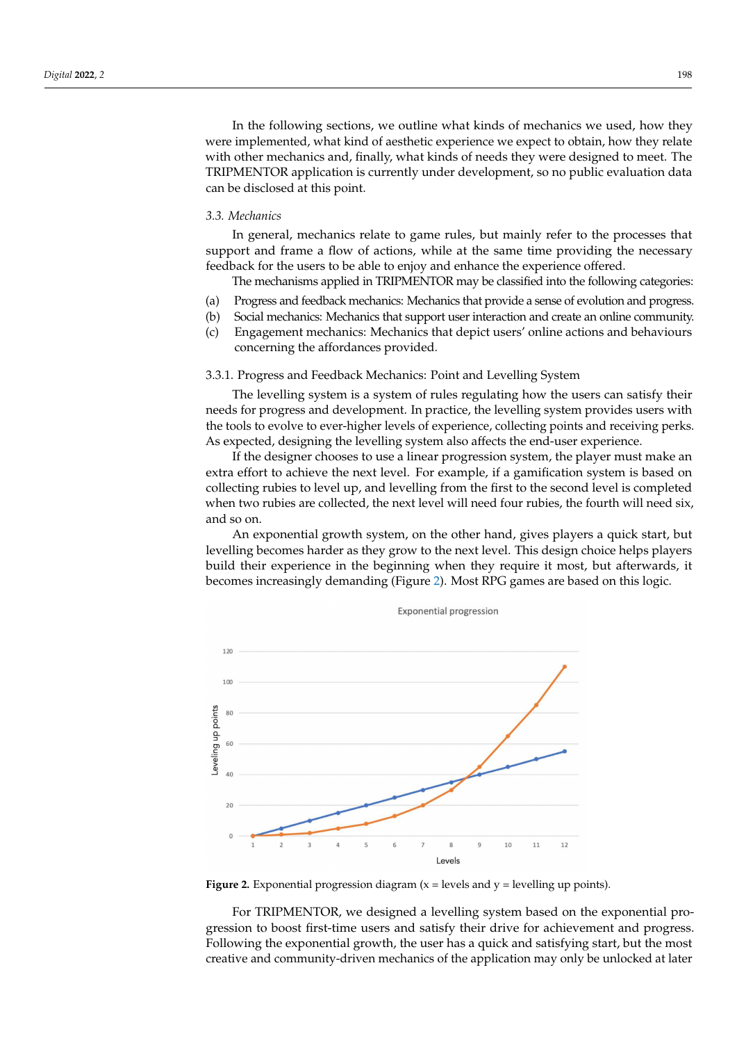In the following sections, we outline what kinds of mechanics we used, how they were implemented, what kind of aesthetic experience we expect to obtain, how they relate with other mechanics and, finally, what kinds of needs they were designed to meet. The TRIPMENTOR application is currently under development, so no public evaluation data can be disclosed at this point.

## *3.3. Mechanics*

In general, mechanics relate to game rules, but mainly refer to the processes that support and frame a flow of actions, while at the same time providing the necessary feedback for the users to be able to enjoy and enhance the experience offered.

The mechanisms applied in TRIPMENTOR may be classified into the following categories:

- (a) Progress and feedback mechanics: Mechanics that provide a sense of evolution and progress.
- (b) Social mechanics: Mechanics that support user interaction and create an online community.
- (c) Engagement mechanics: Mechanics that depict users' online actions and behaviours concerning the affordances provided.

3.3.1. Progress and Feedback Mechanics: Point and Levelling System

The levelling system is a system of rules regulating how the users can satisfy their needs for progress and development. In practice, the levelling system provides users with the tools to evolve to ever-higher levels of experience, collecting points and receiving perks. As expected, designing the levelling system also affects the end-user experience.

If the designer chooses to use a linear progression system, the player must make an extra effort to achieve the next level. For example, if a gamification system is based on collecting rubies to level up, and levelling from the first to the second level is completed when two rubies are collected, the next level will need four rubies, the fourth will need six, and so on.

An exponential growth system, on the other hand, gives players a quick start, but levelling becomes harder as they grow to the next level. This design choice helps players build their experience in the beginning when they require it most, but afterwards, it becomes increasingly demanding (Figure [2\)](#page-7-0). Most RPG games are based on this logic.

<span id="page-7-0"></span>

**Exponential progression** 

**Figure 2.** Exponential progression diagram  $(x = levels$  and  $y = level$  levelling up points).

For TRIPMENTOR, we designed a levelling system based on the exponential progression to boost first-time users and satisfy their drive for achievement and progress. Following the exponential growth, the user has a quick and satisfying start, but the most creative and community-driven mechanics of the application may only be unlocked at later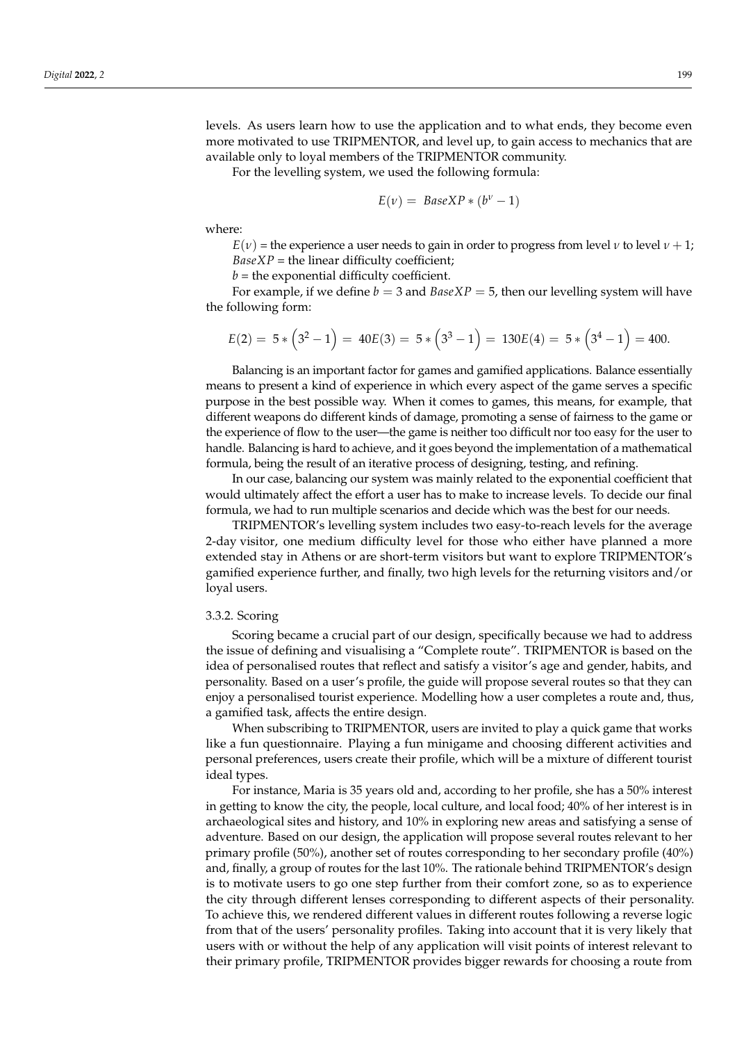levels. As users learn how to use the application and to what ends, they become even more motivated to use TRIPMENTOR, and level up, to gain access to mechanics that are available only to loyal members of the TRIPMENTOR community.

For the levelling system, we used the following formula:

$$
E(\nu) = \text{BaseXP} * (b^{\nu} - 1)
$$

where:

 $E(v)$  = the experience a user needs to gain in order to progress from level *ν* to level *ν* + 1;  $BaseXP =$  the linear difficulty coefficient;

 $b =$  the exponential difficulty coefficient.

For example, if we define  $b = 3$  and  $BaseXP = 5$ , then our levelling system will have the following form:

$$
E(2) = 5 * (32 - 1) = 40E(3) = 5 * (33 - 1) = 130E(4) = 5 * (34 - 1) = 400.
$$

Balancing is an important factor for games and gamified applications. Balance essentially means to present a kind of experience in which every aspect of the game serves a specific purpose in the best possible way. When it comes to games, this means, for example, that different weapons do different kinds of damage, promoting a sense of fairness to the game or the experience of flow to the user—the game is neither too difficult nor too easy for the user to handle. Balancing is hard to achieve, and it goes beyond the implementation of a mathematical formula, being the result of an iterative process of designing, testing, and refining.

In our case, balancing our system was mainly related to the exponential coefficient that would ultimately affect the effort a user has to make to increase levels. To decide our final formula, we had to run multiple scenarios and decide which was the best for our needs.

TRIPMENTOR's levelling system includes two easy-to-reach levels for the average 2-day visitor, one medium difficulty level for those who either have planned a more extended stay in Athens or are short-term visitors but want to explore TRIPMENTOR's gamified experience further, and finally, two high levels for the returning visitors and/or loyal users.

## 3.3.2. Scoring

Scoring became a crucial part of our design, specifically because we had to address the issue of defining and visualising a "Complete route". TRIPMENTOR is based on the idea of personalised routes that reflect and satisfy a visitor's age and gender, habits, and personality. Based on a user's profile, the guide will propose several routes so that they can enjoy a personalised tourist experience. Modelling how a user completes a route and, thus, a gamified task, affects the entire design.

When subscribing to TRIPMENTOR, users are invited to play a quick game that works like a fun questionnaire. Playing a fun minigame and choosing different activities and personal preferences, users create their profile, which will be a mixture of different tourist ideal types.

For instance, Maria is 35 years old and, according to her profile, she has a 50% interest in getting to know the city, the people, local culture, and local food; 40% of her interest is in archaeological sites and history, and 10% in exploring new areas and satisfying a sense of adventure. Based on our design, the application will propose several routes relevant to her primary profile (50%), another set of routes corresponding to her secondary profile (40%) and, finally, a group of routes for the last 10%. The rationale behind TRIPMENTOR's design is to motivate users to go one step further from their comfort zone, so as to experience the city through different lenses corresponding to different aspects of their personality. To achieve this, we rendered different values in different routes following a reverse logic from that of the users' personality profiles. Taking into account that it is very likely that users with or without the help of any application will visit points of interest relevant to their primary profile, TRIPMENTOR provides bigger rewards for choosing a route from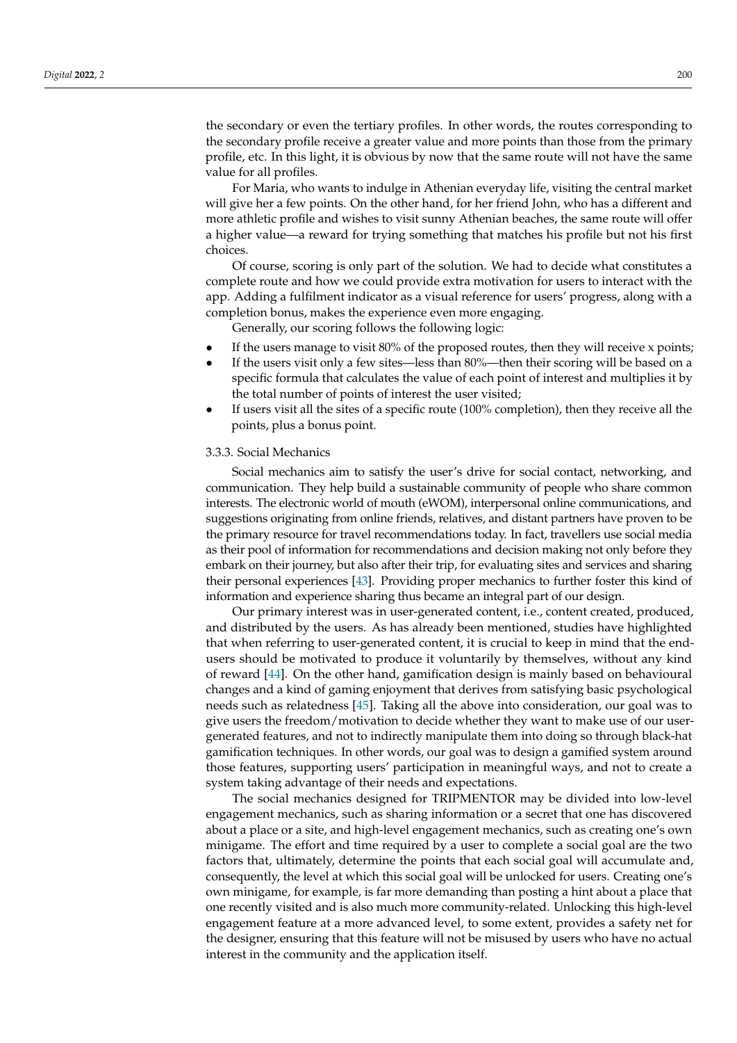the secondary or even the tertiary profiles. In other words, the routes corresponding to the secondary profile receive a greater value and more points than those from the primary profile, etc. In this light, it is obvious by now that the same route will not have the same value for all profiles.

For Maria, who wants to indulge in Athenian everyday life, visiting the central market will give her a few points. On the other hand, for her friend John, who has a different and more athletic profile and wishes to visit sunny Athenian beaches, the same route will offer a higher value—a reward for trying something that matches his profile but not his first choices.

Of course, scoring is only part of the solution. We had to decide what constitutes a complete route and how we could provide extra motivation for users to interact with the app. Adding a fulfilment indicator as a visual reference for users' progress, along with a completion bonus, makes the experience even more engaging.

Generally, our scoring follows the following logic:

- If the users manage to visit  $80\%$  of the proposed routes, then they will receive x points;
- If the users visit only a few sites—less than 80%—then their scoring will be based on a specific formula that calculates the value of each point of interest and multiplies it by the total number of points of interest the user visited;
- If users visit all the sites of a specific route (100% completion), then they receive all the points, plus a bonus point.

# 3.3.3. Social Mechanics

Social mechanics aim to satisfy the user's drive for social contact, networking, and communication. They help build a sustainable community of people who share common interests. The electronic world of mouth (eWOM), interpersonal online communications, and suggestions originating from online friends, relatives, and distant partners have proven to be the primary resource for travel recommendations today. In fact, travellers use social media as their pool of information for recommendations and decision making not only before they embark on their journey, but also after their trip, for evaluating sites and services and sharing their personal experiences [\[43\]](#page-14-13). Providing proper mechanics to further foster this kind of information and experience sharing thus became an integral part of our design.

Our primary interest was in user-generated content, i.e., content created, produced, and distributed by the users. As has already been mentioned, studies have highlighted that when referring to user-generated content, it is crucial to keep in mind that the endusers should be motivated to produce it voluntarily by themselves, without any kind of reward [\[44\]](#page-14-14). On the other hand, gamification design is mainly based on behavioural changes and a kind of gaming enjoyment that derives from satisfying basic psychological needs such as relatedness [\[45\]](#page-14-15). Taking all the above into consideration, our goal was to give users the freedom/motivation to decide whether they want to make use of our usergenerated features, and not to indirectly manipulate them into doing so through black-hat gamification techniques. In other words, our goal was to design a gamified system around those features, supporting users' participation in meaningful ways, and not to create a system taking advantage of their needs and expectations.

The social mechanics designed for TRIPMENTOR may be divided into low-level engagement mechanics, such as sharing information or a secret that one has discovered about a place or a site, and high-level engagement mechanics, such as creating one's own minigame. The effort and time required by a user to complete a social goal are the two factors that, ultimately, determine the points that each social goal will accumulate and, consequently, the level at which this social goal will be unlocked for users. Creating one's own minigame, for example, is far more demanding than posting a hint about a place that one recently visited and is also much more community-related. Unlocking this high-level engagement feature at a more advanced level, to some extent, provides a safety net for the designer, ensuring that this feature will not be misused by users who have no actual interest in the community and the application itself.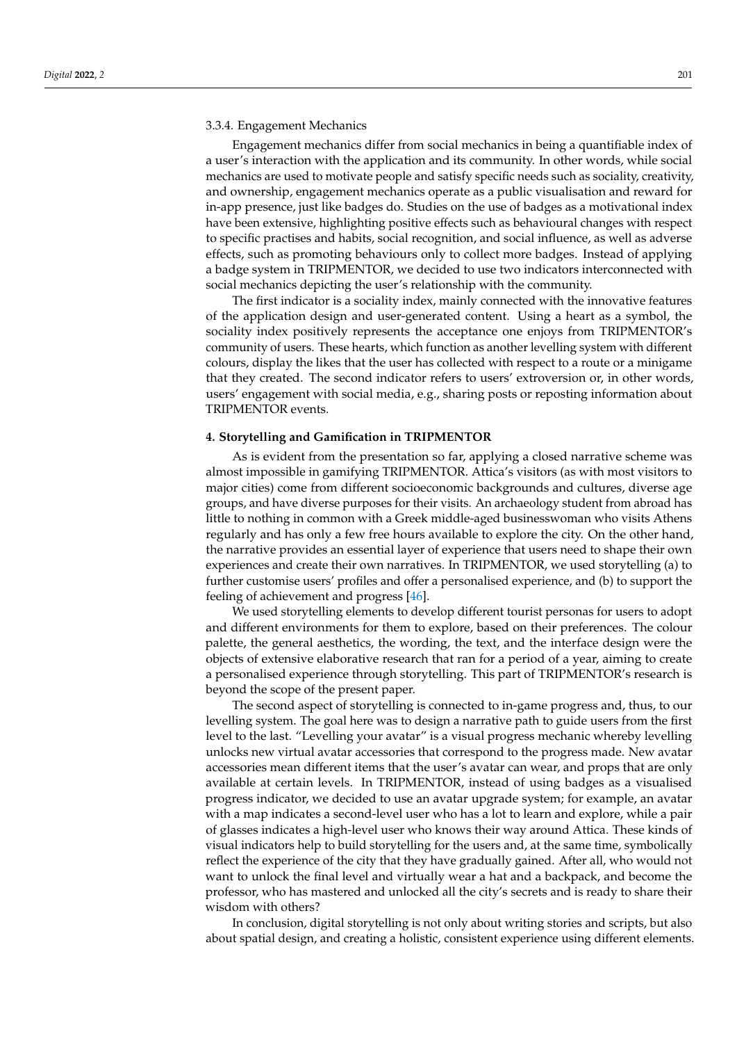## 3.3.4. Engagement Mechanics

Engagement mechanics differ from social mechanics in being a quantifiable index of a user's interaction with the application and its community. In other words, while social mechanics are used to motivate people and satisfy specific needs such as sociality, creativity, and ownership, engagement mechanics operate as a public visualisation and reward for in-app presence, just like badges do. Studies on the use of badges as a motivational index have been extensive, highlighting positive effects such as behavioural changes with respect to specific practises and habits, social recognition, and social influence, as well as adverse effects, such as promoting behaviours only to collect more badges. Instead of applying a badge system in TRIPMENTOR, we decided to use two indicators interconnected with social mechanics depicting the user's relationship with the community.

The first indicator is a sociality index, mainly connected with the innovative features of the application design and user-generated content. Using a heart as a symbol, the sociality index positively represents the acceptance one enjoys from TRIPMENTOR's community of users. These hearts, which function as another levelling system with different colours, display the likes that the user has collected with respect to a route or a minigame that they created. The second indicator refers to users' extroversion or, in other words, users' engagement with social media, e.g., sharing posts or reposting information about TRIPMENTOR events.

### <span id="page-10-0"></span>**4. Storytelling and Gamification in TRIPMENTOR**

As is evident from the presentation so far, applying a closed narrative scheme was almost impossible in gamifying TRIPMENTOR. Attica's visitors (as with most visitors to major cities) come from different socioeconomic backgrounds and cultures, diverse age groups, and have diverse purposes for their visits. An archaeology student from abroad has little to nothing in common with a Greek middle-aged businesswoman who visits Athens regularly and has only a few free hours available to explore the city. On the other hand, the narrative provides an essential layer of experience that users need to shape their own experiences and create their own narratives. In TRIPMENTOR, we used storytelling (a) to further customise users' profiles and offer a personalised experience, and (b) to support the feeling of achievement and progress [\[46\]](#page-14-16).

We used storytelling elements to develop different tourist personas for users to adopt and different environments for them to explore, based on their preferences. The colour palette, the general aesthetics, the wording, the text, and the interface design were the objects of extensive elaborative research that ran for a period of a year, aiming to create a personalised experience through storytelling. This part of TRIPMENTOR's research is beyond the scope of the present paper.

The second aspect of storytelling is connected to in-game progress and, thus, to our levelling system. The goal here was to design a narrative path to guide users from the first level to the last. "Levelling your avatar" is a visual progress mechanic whereby levelling unlocks new virtual avatar accessories that correspond to the progress made. New avatar accessories mean different items that the user's avatar can wear, and props that are only available at certain levels. In TRIPMENTOR, instead of using badges as a visualised progress indicator, we decided to use an avatar upgrade system; for example, an avatar with a map indicates a second-level user who has a lot to learn and explore, while a pair of glasses indicates a high-level user who knows their way around Attica. These kinds of visual indicators help to build storytelling for the users and, at the same time, symbolically reflect the experience of the city that they have gradually gained. After all, who would not want to unlock the final level and virtually wear a hat and a backpack, and become the professor, who has mastered and unlocked all the city's secrets and is ready to share their wisdom with others?

In conclusion, digital storytelling is not only about writing stories and scripts, but also about spatial design, and creating a holistic, consistent experience using different elements.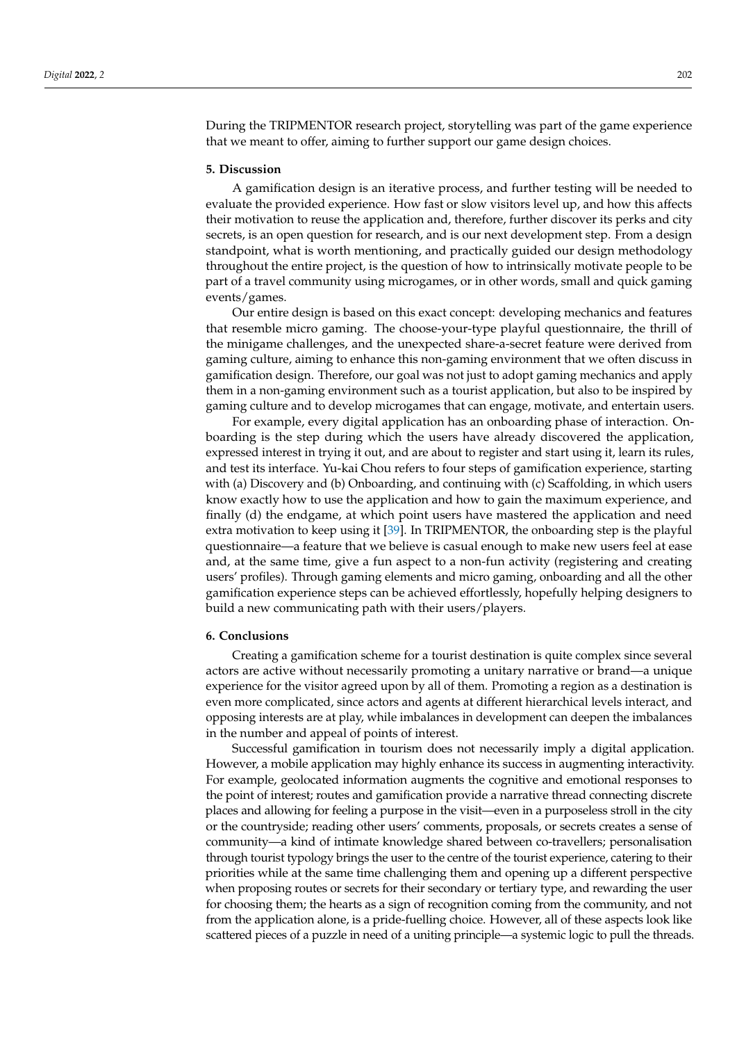During the TRIPMENTOR research project, storytelling was part of the game experience that we meant to offer, aiming to further support our game design choices.

#### <span id="page-11-0"></span>**5. Discussion**

A gamification design is an iterative process, and further testing will be needed to evaluate the provided experience. How fast or slow visitors level up, and how this affects their motivation to reuse the application and, therefore, further discover its perks and city secrets, is an open question for research, and is our next development step. From a design standpoint, what is worth mentioning, and practically guided our design methodology throughout the entire project, is the question of how to intrinsically motivate people to be part of a travel community using microgames, or in other words, small and quick gaming events/games.

Our entire design is based on this exact concept: developing mechanics and features that resemble micro gaming. The choose-your-type playful questionnaire, the thrill of the minigame challenges, and the unexpected share-a-secret feature were derived from gaming culture, aiming to enhance this non-gaming environment that we often discuss in gamification design. Therefore, our goal was not just to adopt gaming mechanics and apply them in a non-gaming environment such as a tourist application, but also to be inspired by gaming culture and to develop microgames that can engage, motivate, and entertain users.

For example, every digital application has an onboarding phase of interaction. Onboarding is the step during which the users have already discovered the application, expressed interest in trying it out, and are about to register and start using it, learn its rules, and test its interface. Yu-kai Chou refers to four steps of gamification experience, starting with (a) Discovery and (b) Onboarding, and continuing with (c) Scaffolding, in which users know exactly how to use the application and how to gain the maximum experience, and finally (d) the endgame, at which point users have mastered the application and need extra motivation to keep using it [\[39\]](#page-14-9). In TRIPMENTOR, the onboarding step is the playful questionnaire—a feature that we believe is casual enough to make new users feel at ease and, at the same time, give a fun aspect to a non-fun activity (registering and creating users' profiles). Through gaming elements and micro gaming, onboarding and all the other gamification experience steps can be achieved effortlessly, hopefully helping designers to build a new communicating path with their users/players.

#### <span id="page-11-1"></span>**6. Conclusions**

Creating a gamification scheme for a tourist destination is quite complex since several actors are active without necessarily promoting a unitary narrative or brand—a unique experience for the visitor agreed upon by all of them. Promoting a region as a destination is even more complicated, since actors and agents at different hierarchical levels interact, and opposing interests are at play, while imbalances in development can deepen the imbalances in the number and appeal of points of interest.

Successful gamification in tourism does not necessarily imply a digital application. However, a mobile application may highly enhance its success in augmenting interactivity. For example, geolocated information augments the cognitive and emotional responses to the point of interest; routes and gamification provide a narrative thread connecting discrete places and allowing for feeling a purpose in the visit—even in a purposeless stroll in the city or the countryside; reading other users' comments, proposals, or secrets creates a sense of community—a kind of intimate knowledge shared between co-travellers; personalisation through tourist typology brings the user to the centre of the tourist experience, catering to their priorities while at the same time challenging them and opening up a different perspective when proposing routes or secrets for their secondary or tertiary type, and rewarding the user for choosing them; the hearts as a sign of recognition coming from the community, and not from the application alone, is a pride-fuelling choice. However, all of these aspects look like scattered pieces of a puzzle in need of a uniting principle—a systemic logic to pull the threads.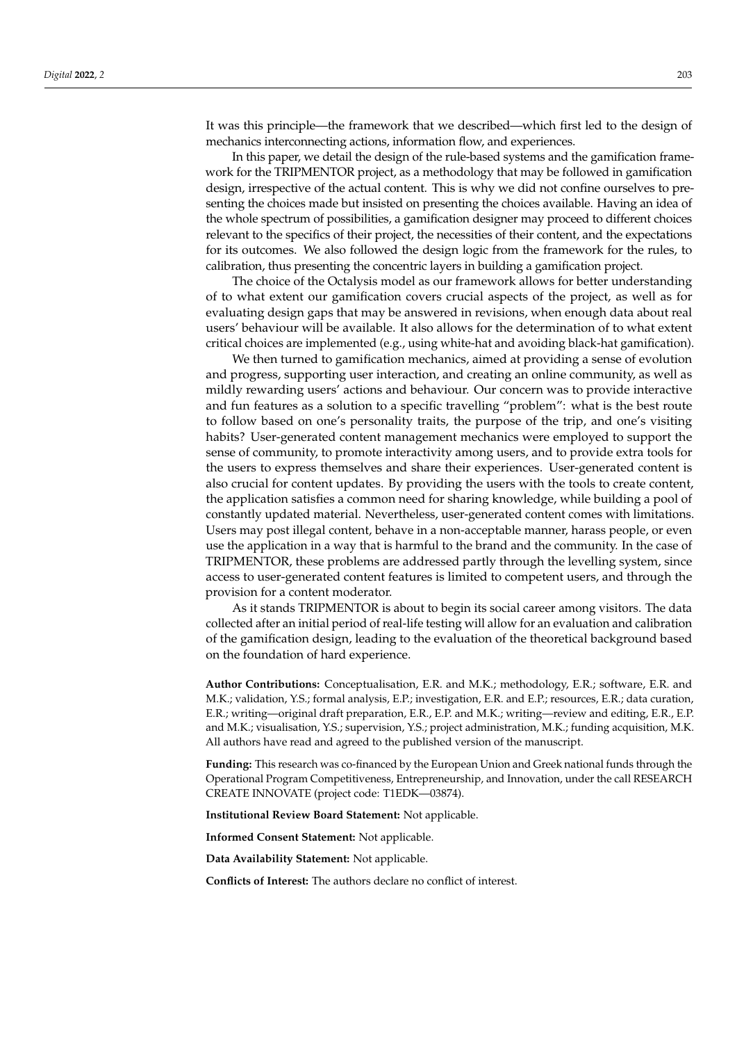It was this principle—the framework that we described—which first led to the design of mechanics interconnecting actions, information flow, and experiences.

In this paper, we detail the design of the rule-based systems and the gamification framework for the TRIPMENTOR project, as a methodology that may be followed in gamification design, irrespective of the actual content. This is why we did not confine ourselves to presenting the choices made but insisted on presenting the choices available. Having an idea of the whole spectrum of possibilities, a gamification designer may proceed to different choices relevant to the specifics of their project, the necessities of their content, and the expectations for its outcomes. We also followed the design logic from the framework for the rules, to calibration, thus presenting the concentric layers in building a gamification project.

The choice of the Octalysis model as our framework allows for better understanding of to what extent our gamification covers crucial aspects of the project, as well as for evaluating design gaps that may be answered in revisions, when enough data about real users' behaviour will be available. It also allows for the determination of to what extent critical choices are implemented (e.g., using white-hat and avoiding black-hat gamification).

We then turned to gamification mechanics, aimed at providing a sense of evolution and progress, supporting user interaction, and creating an online community, as well as mildly rewarding users' actions and behaviour. Our concern was to provide interactive and fun features as a solution to a specific travelling "problem": what is the best route to follow based on one's personality traits, the purpose of the trip, and one's visiting habits? User-generated content management mechanics were employed to support the sense of community, to promote interactivity among users, and to provide extra tools for the users to express themselves and share their experiences. User-generated content is also crucial for content updates. By providing the users with the tools to create content, the application satisfies a common need for sharing knowledge, while building a pool of constantly updated material. Nevertheless, user-generated content comes with limitations. Users may post illegal content, behave in a non-acceptable manner, harass people, or even use the application in a way that is harmful to the brand and the community. In the case of TRIPMENTOR, these problems are addressed partly through the levelling system, since access to user-generated content features is limited to competent users, and through the provision for a content moderator.

As it stands TRIPMENTOR is about to begin its social career among visitors. The data collected after an initial period of real-life testing will allow for an evaluation and calibration of the gamification design, leading to the evaluation of the theoretical background based on the foundation of hard experience.

**Author Contributions:** Conceptualisation, E.R. and M.K.; methodology, E.R.; software, E.R. and M.K.; validation, Y.S.; formal analysis, E.P.; investigation, E.R. and E.P.; resources, E.R.; data curation, E.R.; writing—original draft preparation, E.R., E.P. and M.K.; writing—review and editing, E.R., E.P. and M.K.; visualisation, Y.S.; supervision, Y.S.; project administration, M.K.; funding acquisition, M.K. All authors have read and agreed to the published version of the manuscript.

**Funding:** This research was co-financed by the European Union and Greek national funds through the Operational Program Competitiveness, Entrepreneurship, and Innovation, under the call RESEARCH CREATE INNOVATE (project code: T1EDK—03874).

**Institutional Review Board Statement:** Not applicable.

**Informed Consent Statement:** Not applicable.

**Data Availability Statement:** Not applicable.

**Conflicts of Interest:** The authors declare no conflict of interest.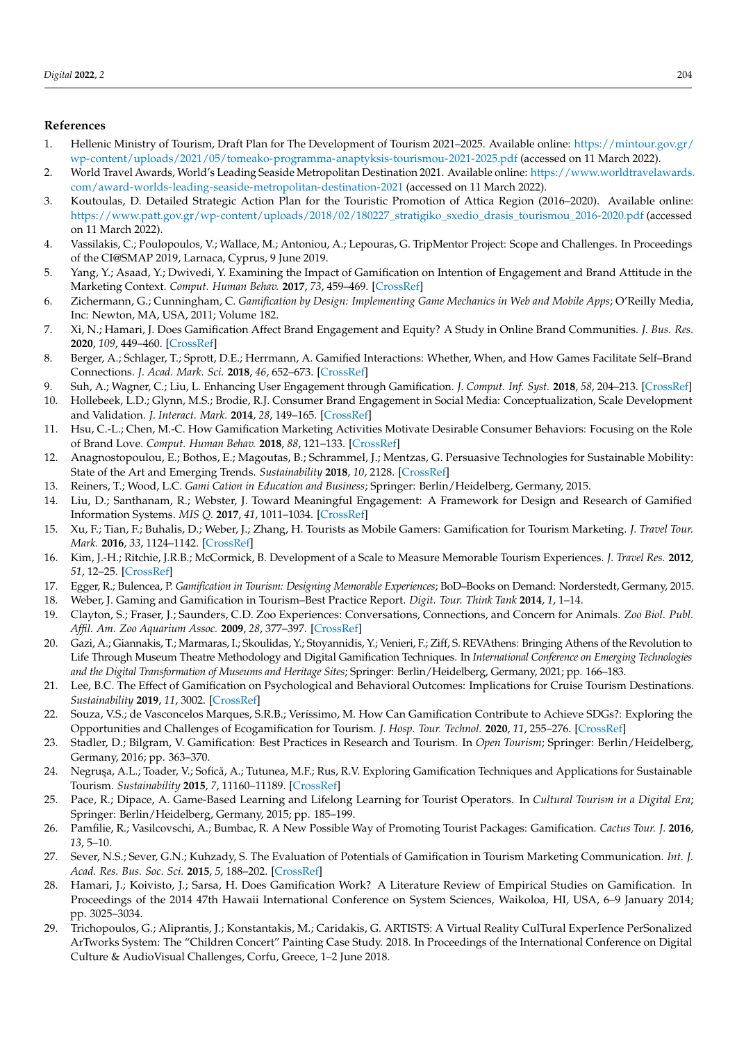## **References**

- <span id="page-13-0"></span>1. Hellenic Ministry of Tourism, Draft Plan for The Development of Tourism 2021–2025. Available online: [https://mintour.gov.gr/](https://mintour.gov.gr/wp-content/uploads/2021/05/tomeako-programma-anaptyksis-tourismou-2021-2025.pdf) [wp-content/uploads/2021/05/tomeako-programma-anaptyksis-tourismou-2021-2025.pdf](https://mintour.gov.gr/wp-content/uploads/2021/05/tomeako-programma-anaptyksis-tourismou-2021-2025.pdf) (accessed on 11 March 2022).
- <span id="page-13-1"></span>2. World Travel Awards, World's Leading Seaside Metropolitan Destination 2021. Available online: [https://www.worldtravelawards.](https://www.worldtravelawards.com/award-worlds-leading-seaside-metropolitan-destination-2021) [com/award-worlds-leading-seaside-metropolitan-destination-2021](https://www.worldtravelawards.com/award-worlds-leading-seaside-metropolitan-destination-2021) (accessed on 11 March 2022).
- <span id="page-13-2"></span>3. Koutoulas, D. Detailed Strategic Action Plan for the Touristic Promotion of Attica Region (2016–2020). Available online: [https://www.patt.gov.gr/wp-content/uploads/2018/02/180227\\_stratigiko\\_sxedio\\_drasis\\_tourismou\\_2016-2020.pdf](https://www.patt.gov.gr/wp-content/uploads/2018/02/180227_stratigiko_sxedio_drasis_tourismou_2016-2020.pdf) (accessed on 11 March 2022).
- <span id="page-13-3"></span>4. Vassilakis, C.; Poulopoulos, V.; Wallace, M.; Antoniou, A.; Lepouras, G. TripMentor Project: Scope and Challenges. In Proceedings of the CI@SMAP 2019, Larnaca, Cyprus, 9 June 2019.
- <span id="page-13-4"></span>5. Yang, Y.; Asaad, Y.; Dwivedi, Y. Examining the Impact of Gamification on Intention of Engagement and Brand Attitude in the Marketing Context. *Comput. Human Behav.* **2017**, *73*, 459–469. [\[CrossRef\]](http://doi.org/10.1016/j.chb.2017.03.066)
- <span id="page-13-5"></span>6. Zichermann, G.; Cunningham, C. *Gamification by Design: Implementing Game Mechanics in Web and Mobile Apps*; O'Reilly Media, Inc: Newton, MA, USA, 2011; Volume 182.
- <span id="page-13-6"></span>7. Xi, N.; Hamari, J. Does Gamification Affect Brand Engagement and Equity? A Study in Online Brand Communities. *J. Bus. Res.* **2020**, *109*, 449–460. [\[CrossRef\]](http://doi.org/10.1016/j.jbusres.2019.11.058)
- <span id="page-13-7"></span>8. Berger, A.; Schlager, T.; Sprott, D.E.; Herrmann, A. Gamified Interactions: Whether, When, and How Games Facilitate Self–Brand Connections. *J. Acad. Mark. Sci.* **2018**, *46*, 652–673. [\[CrossRef\]](http://doi.org/10.1007/s11747-017-0530-0)
- <span id="page-13-8"></span>9. Suh, A.; Wagner, C.; Liu, L. Enhancing User Engagement through Gamification. *J. Comput. Inf. Syst.* **2018**, *58*, 204–213. [\[CrossRef\]](http://doi.org/10.1080/08874417.2016.1229143)
- <span id="page-13-9"></span>10. Hollebeek, L.D.; Glynn, M.S.; Brodie, R.J. Consumer Brand Engagement in Social Media: Conceptualization, Scale Development and Validation. *J. Interact. Mark.* **2014**, *28*, 149–165. [\[CrossRef\]](http://doi.org/10.1016/j.intmar.2013.12.002)
- <span id="page-13-10"></span>11. Hsu, C.-L.; Chen, M.-C. How Gamification Marketing Activities Motivate Desirable Consumer Behaviors: Focusing on the Role of Brand Love. *Comput. Human Behav.* **2018**, *88*, 121–133. [\[CrossRef\]](http://doi.org/10.1016/j.chb.2018.06.037)
- <span id="page-13-11"></span>12. Anagnostopoulou, E.; Bothos, E.; Magoutas, B.; Schrammel, J.; Mentzas, G. Persuasive Technologies for Sustainable Mobility: State of the Art and Emerging Trends. *Sustainability* **2018**, *10*, 2128. [\[CrossRef\]](http://doi.org/10.3390/su10072128)
- <span id="page-13-12"></span>13. Reiners, T.; Wood, L.C. *Gami Cation in Education and Business*; Springer: Berlin/Heidelberg, Germany, 2015.
- <span id="page-13-13"></span>14. Liu, D.; Santhanam, R.; Webster, J. Toward Meaningful Engagement: A Framework for Design and Research of Gamified Information Systems. *MIS Q.* **2017**, *41*, 1011–1034. [\[CrossRef\]](http://doi.org/10.25300/MISQ/2017/41.4.01)
- <span id="page-13-14"></span>15. Xu, F.; Tian, F.; Buhalis, D.; Weber, J.; Zhang, H. Tourists as Mobile Gamers: Gamification for Tourism Marketing. *J. Travel Tour. Mark.* **2016**, *33*, 1124–1142. [\[CrossRef\]](http://doi.org/10.1080/10548408.2015.1093999)
- <span id="page-13-15"></span>16. Kim, J.-H.; Ritchie, J.R.B.; McCormick, B. Development of a Scale to Measure Memorable Tourism Experiences. *J. Travel Res.* **2012**, *51*, 12–25. [\[CrossRef\]](http://doi.org/10.1177/0047287510385467)
- <span id="page-13-16"></span>17. Egger, R.; Bulencea, P. *Gamification in Tourism: Designing Memorable Experiences*; BoD–Books on Demand: Norderstedt, Germany, 2015.
- <span id="page-13-17"></span>18. Weber, J. Gaming and Gamification in Tourism–Best Practice Report. *Digit. Tour. Think Tank* **2014**, *1*, 1–14.
- <span id="page-13-18"></span>19. Clayton, S.; Fraser, J.; Saunders, C.D. Zoo Experiences: Conversations, Connections, and Concern for Animals. *Zoo Biol. Publ. Affil. Am. Zoo Aquarium Assoc.* **2009**, *28*, 377–397. [\[CrossRef\]](http://doi.org/10.1002/zoo.20186)
- <span id="page-13-19"></span>20. Gazi, A.; Giannakis, T.; Marmaras, I.; Skoulidas, Y.; Stoyannidis, Y.; Venieri, F.; Ziff, S. REVAthens: Bringing Athens of the Revolution to Life Through Museum Theatre Methodology and Digital Gamification Techniques. In *International Conference on Emerging Technologies and the Digital Transformation of Museums and Heritage Sites*; Springer: Berlin/Heidelberg, Germany, 2021; pp. 166–183.
- <span id="page-13-20"></span>21. Lee, B.C. The Effect of Gamification on Psychological and Behavioral Outcomes: Implications for Cruise Tourism Destinations. *Sustainability* **2019**, *11*, 3002. [\[CrossRef\]](http://doi.org/10.3390/su11113002)
- <span id="page-13-21"></span>22. Souza, V.S.; de Vasconcelos Marques, S.R.B.; Veríssimo, M. How Can Gamification Contribute to Achieve SDGs?: Exploring the Opportunities and Challenges of Ecogamification for Tourism. *J. Hosp. Tour. Technol.* **2020**, *11*, 255–276. [\[CrossRef\]](http://doi.org/10.1108/JHTT-05-2019-0081)
- <span id="page-13-22"></span>23. Stadler, D.; Bilgram, V. Gamification: Best Practices in Research and Tourism. In *Open Tourism*; Springer: Berlin/Heidelberg, Germany, 2016; pp. 363–370.
- <span id="page-13-23"></span>24. Negrușa, A.L.; Toader, V.; Sofică, A.; Tutunea, M.F.; Rus, R.V. Exploring Gamification Techniques and Applications for Sustainable Tourism. *Sustainability* **2015**, *7*, 11160–11189. [\[CrossRef\]](http://doi.org/10.3390/su70811160)
- 25. Pace, R.; Dipace, A. Game-Based Learning and Lifelong Learning for Tourist Operators. In *Cultural Tourism in a Digital Era*; Springer: Berlin/Heidelberg, Germany, 2015; pp. 185–199.
- 26. Pamfilie, R.; Vasilcovschi, A.; Bumbac, R. A New Possible Way of Promoting Tourist Packages: Gamification. *Cactus Tour. J.* **2016**, *13*, 5–10.
- <span id="page-13-24"></span>27. Sever, N.S.; Sever, G.N.; Kuhzady, S. The Evaluation of Potentials of Gamification in Tourism Marketing Communication. *Int. J. Acad. Res. Bus. Soc. Sci.* **2015**, *5*, 188–202. [\[CrossRef\]](http://doi.org/10.6007/IJARBSS/v5-i10/1867)
- <span id="page-13-25"></span>28. Hamari, J.; Koivisto, J.; Sarsa, H. Does Gamification Work? A Literature Review of Empirical Studies on Gamification. In Proceedings of the 2014 47th Hawaii International Conference on System Sciences, Waikoloa, HI, USA, 6–9 January 2014; pp. 3025–3034.
- 29. Trichopoulos, G.; Aliprantis, J.; Konstantakis, M.; Caridakis, G. ARTISTS: A Virtual Reality CulTural ExperIence PerSonalized ArTworks System: The "Children Concert" Painting Case Study. 2018. In Proceedings of the International Conference on Digital Culture & AudioVisual Challenges, Corfu, Greece, 1–2 June 2018.